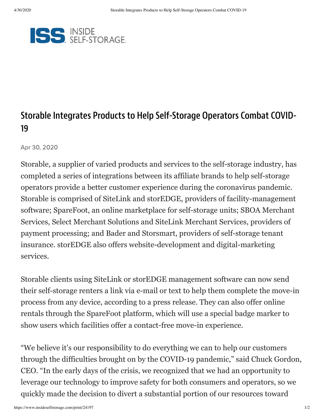

## Storable Integrates Products to Help Self-Storage Operators Combat COVID-19

Apr 30, 2020

Storable, a supplier of varied products and services to the self-storage industry, has completed a series of integrations between its affiliate brands to help self-storage operators provide a better customer experience during the coronavirus pandemic. Storable is comprised of SiteLink and storEDGE, providers of facility-management software; SpareFoot, an online marketplace for self-storage units; SBOA Merchant Services, Select Merchant Solutions and SiteLink Merchant Services, providers of payment processing; and Bader and Storsmart, providers of self-storage tenant insurance. storEDGE also offers website-development and digital-marketing services.

Storable clients using SiteLink or storEDGE management software can now send their self-storage renters a link via e-mail or text to help them complete the move-in process from any device, according to a press release. They can also offer online rentals through the SpareFoot platform, which will use a special badge marker to show users which facilities offer a contact-free move-in experience.

"We believe it's our responsibility to do everything we can to help our customers through the difficulties brought on by the COVID-19 pandemic," said Chuck Gordon, CEO. "In the early days of the crisis, we recognized that we had an opportunity to leverage our technology to improve safety for both consumers and operators, so we quickly made the decision to divert a substantial portion of our resources toward